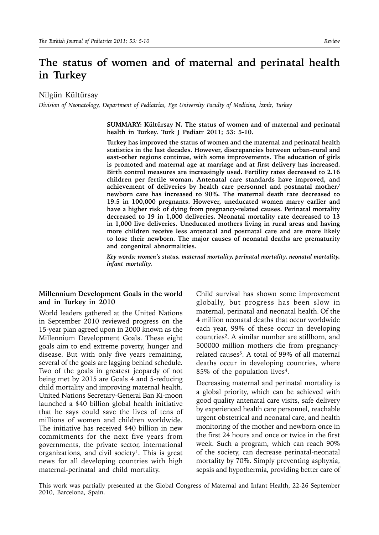# **The status of women and of maternal and perinatal health in Turkey**

Nilgün Kültürsay

*Division of Neonatology, Department of Pediatrics, Ege University Faculty of Medicine, İzmir, Turkey*

**SUMMARY: Kültürsay N. The status of women and of maternal and perinatal health in Turkey. Turk J Pediatr 2011; 53: 5-10.**

**Turkey has improved the status of women and the maternal and perinatal health statistics in the last decades. However, discrepancies between urban–rural and east-other regions continue, with some improvements. The education of girls is promoted and maternal age at marriage and at first delivery has increased. Birth control measures are increasingly used. Fertility rates decreased to 2.16 children per fertile woman. Antenatal care standards have improved, and achievement of deliveries by health care personnel and postnatal mother/ newborn care has increased to 90%. The maternal death rate decreased to 19.5 in 100,000 pregnants. However, uneducated women marry earlier and have a higher risk of dying from pregnancy-related causes. Perinatal mortality decreased to 19 in 1,000 deliveries. Neonatal mortality rate decreased to 13 in 1,000 live deliveries. Uneducated mothers living in rural areas and having more children receive less antenatal and postnatal care and are more likely to lose their newborn. The major causes of neonatal deaths are prematurity and congenital abnormalities.** 

*Key words: women's status, maternal mortality, perinatal mortality, neonatal mortality, infant mortality.*

#### **Millennium Development Goals in the world and in Turkey in 2010**

World leaders gathered at the United Nations in September 2010 reviewed progress on the 15-year plan agreed upon in 2000 known as the Millennium Development Goals. These eight goals aim to end extreme poverty, hunger and disease. But with only five years remaining, several of the goals are lagging behind schedule. Two of the goals in greatest jeopardy of not being met by 2015 are Goals 4 and 5-reducing child mortality and improving maternal health. United Nations Secretary-General Ban Ki-moon launched a \$40 billion global health initiative that he says could save the lives of tens of millions of women and children worldwide. The initiative has received \$40 billion in new commitments for the next five years from governments, the private sector, international organizations, and civil society<sup>1</sup>. This is great news for all developing countries with high maternal-perinatal and child mortality.

Child survival has shown some improvement globally, but progress has been slow in maternal, perinatal and neonatal health. Of the 4 million neonatal deaths that occur worldwide each year, 99% of these occur in developing countries2. A similar number are stillborn, and 500000 million mothers die from pregnancyrelated causes3. A total of 99% of all maternal deaths occur in developing countries, where 85% of the population lives4.

Decreasing maternal and perinatal mortality is a global priority, which can be achieved with good quality antenatal care visits, safe delivery by experienced health care personnel, reachable urgent obstetrical and neonatal care, and health monitoring of the mother and newborn once in the first 24 hours and once or twice in the first week. Such a program, which can reach 90% of the society, can decrease perinatal-neonatal mortality by 70%. Simply preventing asphyxia, sepsis and hypothermia, providing better care of

This work was partially presented at the Global Congress of Maternal and Infant Health, 22-26 September 2010, Barcelona, Spain.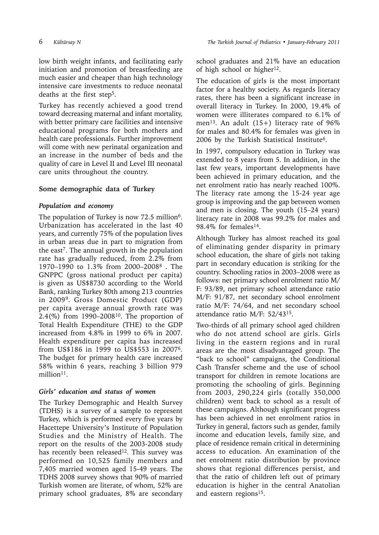low birth weight infants, and facilitating early initiation and promotion of breastfeeding are much easier and cheaper than high technology intensive care investments to reduce neonatal deaths at the first step<sup>5</sup>.

Turkey has recently achieved a good trend toward decreasing maternal and infant mortality, with better primary care facilities and intensive educational programs for both mothers and health care professionals. Further improvement will come with new perinatal organization and an increase in the number of beds and the quality of care in Level II and Level III neonatal care units throughout the country.

# **Some demographic data of Turkey**

## *Population and economy*

The population of Turkey is now 72.5 million<sup>6</sup>. Urbanization has accelerated in the last 40 years, and currently 75% of the population lives in urban areas due in part to migration from the east<sup>7</sup>. The annual growth in the population rate has gradually reduced, from 2.2% from 1970–1990 to 1.3% from 2000–20088 . The GNPPC (gross national product per capita) is given as US\$8730 according to the World Bank, ranking Turkey 80th among 213 countries in 20099. Gross Domestic Product (GDP) per capita average annual growth rate was 2.4(%) from  $1990-2008^{10}$ . The proportion of Total Health Expenditure (THE) to the GDP increased from 4.8% in 1999 to 6% in 2007. Health expenditure per capita has increased from US\$186 in 1999 to US\$553 in 20076. The budget for primary health care increased 58% within 6 years, reaching 3 billion 979 million<sup>11</sup>.

## *Girls' education and status of women*

The Turkey Demographic and Health Survey (TDHS) is a survey of a sample to represent Turkey, which is performed every five years by Hacettepe University's Institute of Population Studies and the Ministry of Health. The report on the results of the 2003-2008 study has recently been released<sup>12</sup>. This survey was performed on 10,525 family members and 7,405 married women aged 15-49 years. The TDHS 2008 survey shows that 90% of married Turkish women are literate, of whom, 52% are primary school graduates, 8% are secondary school graduates and 21% have an education of high school or higher<sup>12</sup>.

The education of girls is the most important factor for a healthy society. As regards literacy rates, there has been a significant increase in overall literacy in Turkey. In 2000, 19.4% of women were illiterates compared to 6.1% of men<sup>13</sup>. An adult  $(15+)$  literacy rate of 96% for males and 80.4% for females was given in 2006 by the Turkish Statistical Institute<sup>6</sup>.

In 1997, compulsory education in Turkey was extended to 8 years from 5. In addition, in the last few years, important developments have been achieved in primary education, and the net enrolment ratio has nearly reached 100%. The literacy rate among the 15-24 year age group is improving and the gap between women and men is closing. The youth (15–24 years) literacy rate in 2008 was 99.2% for males and 98.4% for females14.

Although Turkey has almost reached its goal of eliminating gender disparity in primary school education, the share of girls not taking part in secondary education is striking for the country. Schooling ratios in 2003–2008 were as follows: net primary school enrolment ratio M/ F: 93/89, net primary school attendance ratio M/F: 91/87, net secondary school enrolment ratio M/F: 74/64, and net secondary school attendance ratio M/F: 52/4315.

Two-thirds of all primary school aged children who do not attend school are girls. Girls living in the eastern regions and in rural areas are the most disadvantaged group. The "back to school" campaigns, the Conditional Cash Transfer scheme and the use of school transport for children in remote locations are promoting the schooling of girls. Beginning from 2003, 290,224 girls (totally 350,000 children) went back to school as a result of these campaigns. Although significant progress has been achieved in net enrolment ratios in Turkey in general, factors such as gender, family income and education levels, family size, and place of residence remain critical in determining access to education. An examination of the net enrolment ratio distribution by province shows that regional differences persist, and that the ratio of children left out of primary education is higher in the central Anatolian and eastern regions<sup>15</sup>.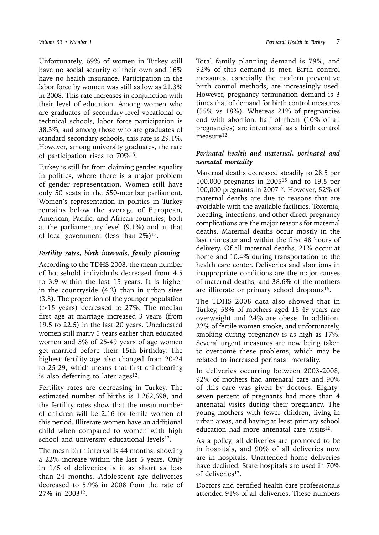Unfortunately, 69% of women in Turkey still have no social security of their own and 16% have no health insurance. Participation in the labor force by women was still as low as 21.3% in 2008. This rate increases in conjunction with their level of education. Among women who are graduates of secondary-level vocational or technical schools, labor force participation is 38.3%, and among those who are graduates of standard secondary schools, this rate is 29.1%. However, among university graduates, the rate of participation rises to 70%15.

Turkey is still far from claiming gender equality in politics, where there is a major problem of gender representation. Women still have only 50 seats in the 550-member parliament. Women's representation in politics in Turkey remains below the average of European, American, Pacific, and African countries, both at the parliamentary level (9.1%) and at that of local government (less than  $2\%/15}$ .

#### *Fertility rates, birth intervals, family planning*

According to the TDHS 2008, the mean number of household individuals decreased from 4.5 to 3.9 within the last 15 years. It is higher in the countryside (4.2) than in urban sites (3.8). The proportion of the younger population (>15 years) decreased to 27%. The median first age at marriage increased 3 years (from 19.5 to 22.5) in the last 20 years. Uneducated women still marry 5 years earlier than educated women and 5% of 25-49 years of age women get married before their 15th birthday. The highest fertility age also changed from 20-24 to 25-29, which means that first childbearing is also deferring to later ages $12$ .

Fertility rates are decreasing in Turkey. The estimated number of births is 1,262,698, and the fertility rates show that the mean number of children will be 2.16 for fertile women of this period. Illiterate women have an additional child when compared to women with high school and university educational levels<sup>12</sup>.

The mean birth interval is 44 months, showing a 22% increase within the last 5 years. Only in 1/5 of deliveries is it as short as less than 24 months. Adolescent age deliveries decreased to 5.9% in 2008 from the rate of 27% in 200312.

Total family planning demand is 79%, and 92% of this demand is met. Birth control measures, especially the modern preventive birth control methods, are increasingly used. However, pregnancy termination demand is 3 times that of demand for birth control measures (55% vs 18%). Whereas 21% of pregnancies end with abortion, half of them (10% of all pregnancies) are intentional as a birth control measure<sup>12</sup>.

#### *Perinatal health and maternal, perinatal and neonatal mortality*

Maternal deaths decreased steadily to 28.5 per 100,000 pregnants in 200516 and to 19.5 per 100,000 pregnants in 200717. However, 52% of maternal deaths are due to reasons that are avoidable with the available facilities. Toxemia, bleeding, infections, and other direct pregnancy complications are the major reasons for maternal deaths. Maternal deaths occur mostly in the last trimester and within the first 48 hours of delivery. Of all maternal deaths, 21% occur at home and 10.4% during transportation to the health care center. Deliveries and abortions in inappropriate conditions are the major causes of maternal deaths, and 38.6% of the mothers are illiterate or primary school dropouts<sup>16</sup>.

The TDHS 2008 data also showed that in Turkey, 58% of mothers aged 15-49 years are overweight and 24% are obese. In addition, 22% of fertile women smoke, and unfortunately, smoking during pregnancy is as high as 17%. Several urgent measures are now being taken to overcome these problems, which may be related to increased perinatal mortality.

In deliveries occurring between 2003-2008, 92% of mothers had antenatal care and 90% of this care was given by doctors. Eightyseven percent of pregnants had more than 4 antenatal visits during their pregnancy. The young mothers with fewer children, living in urban areas, and having at least primary school education had more antenatal care visits<sup>12</sup>.

As a policy, all deliveries are promoted to be in hospitals, and 90% of all deliveries now are in hospitals. Unattended home deliveries have declined. State hospitals are used in 70% of deliveries<sup>12</sup>.

Doctors and certified health care professionals attended 91% of all deliveries. These numbers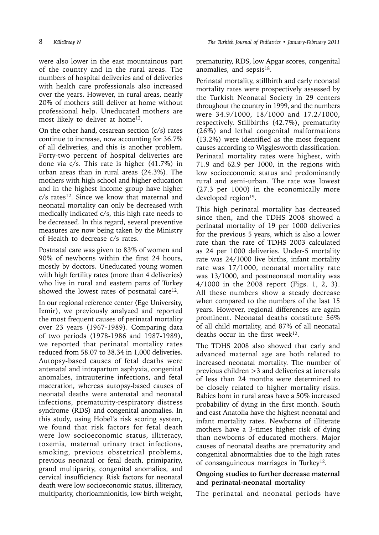were also lower in the east mountainous part of the country and in the rural areas. The numbers of hospital deliveries and of deliveries with health care professionals also increased over the years. However, in rural areas, nearly 20% of mothers still deliver at home without professional help. Uneducated mothers are most likely to deliver at home<sup>12</sup>.

On the other hand, cesarean section (c/s) rates continue to increase, now accounting for 36.7% of all deliveries, and this is another problem. Forty-two percent of hospital deliveries are done via c/s. This rate is higher (41.7%) in urban areas than in rural areas (24.3%). The mothers with high school and higher education and in the highest income group have higher  $c/s$  rates<sup>12</sup>. Since we know that maternal and neonatal mortality can only be decreased with medically indicated c/s, this high rate needs to be decreased. In this regard, several preventive measures are now being taken by the Ministry of Health to decrease c/s rates.

Postnatal care was given to 83% of women and 90% of newborns within the first 24 hours, mostly by doctors. Uneducated young women with high fertility rates (more than 4 deliveries) who live in rural and eastern parts of Turkey showed the lowest rates of postnatal care<sup>12</sup>.

In our regional reference center (Ege University, Izmir), we previously analyzed and reported the most frequent causes of perinatal mortality over 23 years (1967-1989). Comparing data of two periods (1978-1986 and 1987-1989), we reported that perinatal mortality rates reduced from 58.07 to 38.34 in 1,000 deliveries. Autopsy-based causes of fetal deaths were antenatal and intrapartum asphyxia, congenital anomalies, intrauterine infections, and fetal maceration, whereas autopsy-based causes of neonatal deaths were antenatal and neonatal infections, prematurity-respiratory distress syndrome (RDS) and congenital anomalies. In this study, using Hobel's risk scoring system, we found that risk factors for fetal death were low socioeconomic status, illiteracy, toxemia, maternal urinary tract infections, smoking, previous obstetrical problems, previous neonatal or fetal death, primiparity, grand multiparity, congenital anomalies, and cervical insufficiency. Risk factors for neonatal death were low socioeconomic status, illiteracy, multiparity, chorioamnionitis, low birth weight,

prematurity, RDS, low Apgar scores, congenital anomalies, and sepsis<sup>18</sup>.

Perinatal mortality, stillbirth and early neonatal mortality rates were prospectively assessed by the Turkish Neonatal Society in 29 centers throughout the country in 1999, and the numbers were 34.9/1000, 18/1000 and 17.2/1000, respectively. Stillbirths (42.7%), prematurity (26%) and lethal congenital malformations (13.2%) were identified as the most frequent causes according to Wigglesworth classification. Perinatal mortality rates were highest, with 71.9 and 62.9 per 1000, in the regions with low socioeconomic status and predominantly rural and semi-urban. The rate was lowest (27.3 per 1000) in the economically more developed region<sup>19</sup>.

This high perinatal mortality has decreased since then, and the TDHS 2008 showed a perinatal mortality of 19 per 1000 deliveries for the previous 5 years, which is also a lower rate than the rate of TDHS 2003 calculated as 24 per 1000 deliveries. Under-5 mortality rate was 24/1000 live births, infant mortality rate was 17/1000, neonatal mortality rate was 13/1000, and postneonatal mortality was 4/1000 in the 2008 report (Figs. 1, 2, 3). All these numbers show a steady decrease when compared to the numbers of the last 15 years. However, regional differences are again prominent. Neonatal deaths constitute 56% of all child mortality, and 87% of all neonatal deaths occur in the first week<sup>12</sup>.

The TDHS 2008 also showed that early and advanced maternal age are both related to increased neonatal mortality. The number of previous children >3 and deliveries at intervals of less than 24 months were determined to be closely related to higher mortality risks. Babies born in rural areas have a 50% increased probability of dying in the first month. South and east Anatolia have the highest neonatal and infant mortality rates. Newborns of illiterate mothers have a 3-times higher risk of dying than newborns of educated mothers. Major causes of neonatal deaths are prematurity and congenital abnormalities due to the high rates of consanguineous marriages in Turkey<sup>12</sup>.

# **Ongoing studies to further decrease maternal and perinatal-neonatal mortality**

The perinatal and neonatal periods have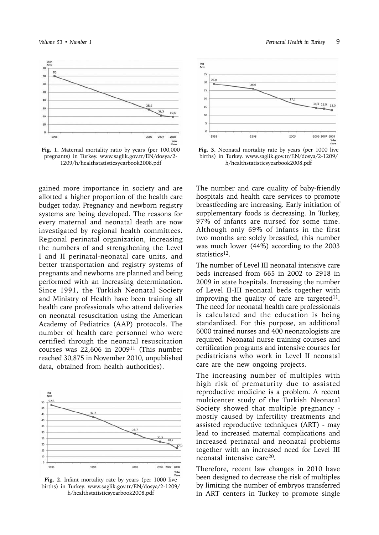

**Fig. 1.** Maternal mortality ratio by years (per 100,000 pregnants) in Turkey. www.saglik.gov.tr/EN/dosya/2- 1209/h/healthstatisticsyearbook2008.pdf

gained more importance in society and are allotted a higher proportion of the health care budget today. Pregnancy and newborn registry systems are being developed. The reasons for every maternal and neonatal death are now investigated by regional health committees. Regional perinatal organization, increasing the numbers of and strengthening the Level I and II perinatal-neonatal care units, and better transportation and registry systems of pregnants and newborns are planned and being performed with an increasing determination. Since 1991, the Turkish Neonatal Society and Ministry of Health have been training all health care professionals who attend deliveries on neonatal resuscitation using the American Academy of Pediatrics (AAP) protocols. The number of health care personnel who were certified through the neonatal resuscitation courses was  $22,606$  in  $2009$ <sup>11</sup> (This number reached 30,875 in November 2010, unpublished data, obtained from health authorities).



**Fig. 2.** Infant mortality rate by years (per 1000 live births) in Turkey. www.saglik.gov.tr/EN/dosya/2-1209/ h/healthstatisticsyearbook2008.pdf



**Fig. 3.** Neonatal mortality rate by years (per 1000 live births) in Turkey. www.saglik.gov.tr/EN/dosya/2-1209/ h/healthstatisticsyearbook2008.pdf

The number and care quality of baby-friendly hospitals and health care services to promote breastfeeding are increasing. Early initiation of supplementary foods is decreasing. In Turkey, 97% of infants are nursed for some time. Although only 69% of infants in the first two months are solely breastfed, this number was much lower (44%) according to the 2003 statistics<sup>12</sup>.

The number of Level III neonatal intensive care beds increased from 665 in 2002 to 2918 in 2009 in state hospitals. Increasing the number of Level II-III neonatal beds together with improving the quality of care are targeted $11$ . The need for neonatal health care professionals is calculated and the education is being standardized. For this purpose, an additional 6000 trained nurses and 400 neonatologists are required. Neonatal nurse training courses and certification programs and intensive courses for pediatricians who work in Level II neonatal care are the new ongoing projects.

The increasing number of multiples with high risk of prematurity due to assisted reproductive medicine is a problem. A recent multicenter study of the Turkish Neonatal Society showed that multiple pregnancy mostly caused by infertility treatments and assisted reproductive techniques (ART) - may lead to increased maternal complications and increased perinatal and neonatal problems together with an increased need for Level III neonatal intensive care20.

Therefore, recent law changes in 2010 have been designed to decrease the risk of multiples by limiting the number of embryos transferred in ART centers in Turkey to promote single